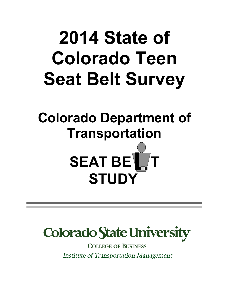# **2014 State of Colorado Teen Seat Belt Survey**

# **Colorado Department of Transportation**





**COLLEGE OF BUSINESS** Institute of Transportation Management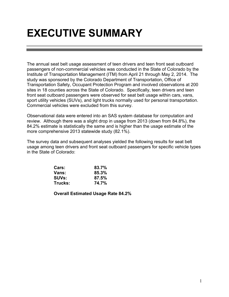### **EXECUTIVE SUMMARY**

The annual seat belt usage assessment of teen drivers and teen front seat outboard passengers of non-commercial vehicles was conducted in the State of Colorado by the Institute of Transportation Management (ITM) from April 21 through May 2, 2014. The study was sponsored by the Colorado Department of Transportation, Office of Transportation Safety, Occupant Protection Program and involved observations at 200 sites in 18 counties across the State of Colorado. Specifically, teen drivers and teen front seat outboard passengers were observed for seat belt usage within cars, vans, sport utility vehicles (SUVs), and light trucks normally used for personal transportation. Commercial vehicles were excluded from this survey.

Observational data were entered into an SAS system database for computation and review. Although there was a slight drop in usage from 2013 (down from 84.8%), the 84.2% estimate is statistically the same and is higher than the usage estimate of the more comprehensive 2013 statewide study (82.1%).

The survey data and subsequent analyses yielded the following results for seat belt usage among teen drivers and front seat outboard passengers for specific vehicle types in the State of Colorado:

| <b>Cars:</b> | 83.7% |
|--------------|-------|
| Vans:        | 85.3% |
| <b>SUVs:</b> | 87.5% |
| Trucks:      | 74.7% |

**Overall Estimated Usage Rate 84.2%**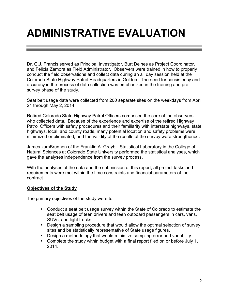## **ADMINISTRATIVE EVALUATION**

Dr. G.J. Francis served as Principal Investigator, Burt Deines as Project Coordinator, and Felicia Zamora as Field Administrator. Observers were trained in how to properly conduct the field observations and collect data during an all day session held at the Colorado State Highway Patrol Headquarters in Golden. The need for consistency and accuracy in the process of data collection was emphasized in the training and presurvey phase of the study.

Seat belt usage data were collected from 200 separate sites on the weekdays from April 21 through May 2, 2014.

Retired Colorado State Highway Patrol Officers comprised the core of the observers who collected data. Because of the experience and expertise of the retired Highway Patrol Officers with safety procedures and their familiarity with interstate highways, state highways, local, and county roads, many potential location and safety problems were minimized or eliminated, and the validity of the results of the survey were strengthened.

James zumBrunnen of the Franklin A. Graybill Statistical Laboratory in the College of Natural Sciences at Colorado State University performed the statistical analyses, which gave the analyses independence from the survey process.

With the analyses of the data and the submission of this report, all project tasks and requirements were met within the time constraints and financial parameters of the contract.

#### **Objectives of the Study**

The primary objectives of the study were to:

- Conduct a seat belt usage survey within the State of Colorado to estimate the seat belt usage of teen drivers and teen outboard passengers in cars, vans, SUVs, and light trucks.
- Design a sampling procedure that would allow the optimal selection of survey sites and be statistically representative of State usage figures.
- Design a methodology that would minimize sampling error and variability.
- Complete the study within budget with a final report filed on or before July 1, 2014.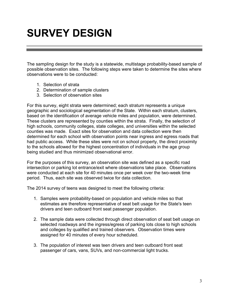### **SURVEY DESIGN**

The sampling design for the study is a statewide, multistage probability-based sample of possible observation sites. The following steps were taken to determine the sites where observations were to be conducted:

- 1. Selection of strata
- 2. Determination of sample clusters
- 3. Selection of observation sites

For this survey, eight strata were determined; each stratum represents a unique geographic and sociological segmentation of the State. Within each stratum, clusters, based on the identification of average vehicle miles and population, were determined. These clusters are represented by counties within the strata. Finally, the selection of high schools, community colleges, state colleges, and universities within the selected counties was made. Exact sites for observation and data collection were then determined for each school with observation points near ingress and egress roads that had public access. While these sites were not on school property, the direct proximity to the schools allowed for the highest concentration of individuals in the age group being studied and thus minimized observational error.

For the purposes of this survey, an observation site was defined as a specific road intersection or parking lot entrance/exit where observations take place. Observations were conducted at each site for 40 minutes once per week over the two-week time period. Thus, each site was observed twice for data collection.

The 2014 survey of teens was designed to meet the following criteria:

- 1. Samples were probability-based on population and vehicle miles so that estimates are therefore representative of seat belt usage for the State's teen drivers and teen outboard front seat passenger population.
- 2. The sample data were collected through direct observation of seat belt usage on selected roadways and the ingress/egress of parking lots close to high schools and colleges by qualified and trained observers. Observation times were assigned for 40 minutes of every hour scheduled.
- 3. The population of interest was teen drivers and teen outboard front seat passenger of cars, vans, SUVs, and non-commercial light trucks.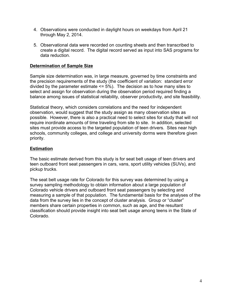- 4. Observations were conducted in daylight hours on weekdays from April 21 through May 2, 2014.
- 5. Observational data were recorded on counting sheets and then transcribed to create a digital record. The digital record served as input into SAS programs for data reduction.

#### **Determination of Sample Size**

Sample size determination was, in large measure, governed by time constraints and the precision requirements of the study (the coefficient of variation: standard error divided by the parameter estimate  $\le$  = 5%). The decision as to how many sites to select and assign for observation during the observation period required finding a balance among issues of statistical reliability, observer productivity, and site feasibility.

Statistical theory, which considers correlations and the need for independent observation, would suggest that the study assign as many observation sites as possible. However, there is also a practical need to select sites for study that will not require inordinate amounts of time traveling from site to site. In addition, selected sites must provide access to the targeted population of teen drivers. Sites near high schools, community colleges, and college and university dorms were therefore given priority.

#### **Estimation**

The basic estimate derived from this study is for seat belt usage of teen drivers and teen outboard front seat passengers in cars, vans, sport utility vehicles (SUVs), and pickup trucks.

The seat belt usage rate for Colorado for this survey was determined by using a survey sampling methodology to obtain information about a large population of Colorado vehicle drivers and outboard front seat passengers by selecting and measuring a sample of that population. The fundamental basis for the analyses of the data from the survey lies in the concept of cluster analysis. Group or "cluster" members share certain properties in common, such as age, and the resultant classification should provide insight into seat belt usage among teens in the State of Colorado.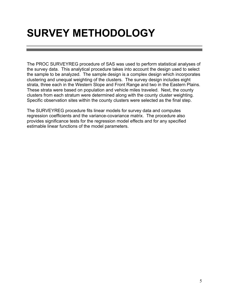## **SURVEY METHODOLOGY**

The PROC SURVEYREG procedure of SAS was used to perform statistical analyses of the survey data. This analytical procedure takes into account the design used to select the sample to be analyzed. The sample design is a complex design which incorporates clustering and unequal weighting of the clusters. The survey design includes eight strata, three each in the Western Slope and Front Range and two in the Eastern Plains. These strata were based on population and vehicle miles traveled. Next, the county clusters from each stratum were determined along with the county cluster weighting. Specific observation sites within the county clusters were selected as the final step.

The SURVEYREG procedure fits linear models for survey data and computes regression coefficients and the variance-covariance matrix. The procedure also provides significance tests for the regression model effects and for any specified estimable linear functions of the model parameters.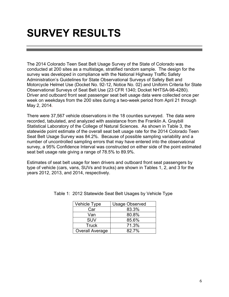### **SURVEY RESULTS**

The 2014 Colorado Teen Seat Belt Usage Survey of the State of Colorado was conducted at 200 sites as a multistage, stratified random sample. The design for the survey was developed in compliance with the National Highway Traffic Safety Administration's Guidelines for State Observational Surveys of Safety Belt and Motorcycle Helmet Use (Docket No. 92-12, Notice No. 02) and Uniform Criteria for State Observational Surveys of Seat Belt Use (23 CFR 1340; Docket NHTSA-98-4280). Driver and outboard front seat passenger seat belt usage data were collected once per week on weekdays from the 200 sites during a two-week period from April 21 through May 2, 2014.

There were 37,567 vehicle observations in the 18 counties surveyed. The data were recorded, tabulated, and analyzed with assistance from the Franklin A. Graybill Statistical Laboratory of the College of Natural Sciences. As shown in Table 3, the statewide point estimate of the overall seat belt usage rate for the 2014 Colorado Teen Seat Belt Usage Survey was 84.2%. Because of possible sampling variability and a number of uncontrolled sampling errors that may have entered into the observational survey, a 95% Confidence Interval was constructed on either side of the point estimated seat belt usage rate giving a range of 78.5% to 89.9%.

Estimates of seat belt usage for teen drivers and outboard front seat passengers by type of vehicle (cars, vans, SUVs and trucks) are shown in Tables 1, 2, and 3 for the years 2012, 2013, and 2014, respectively.

| Vehicle Type           | <b>Usage Observed</b> |
|------------------------|-----------------------|
| Car                    | 83.3%                 |
| Van                    | 80.8%                 |
| <b>SUV</b>             | 85.6%                 |
| <b>Truck</b>           | 71.3%                 |
| <b>Overall Average</b> | 82.7%                 |

Table 1: 2012 Statewide Seat Belt Usages by Vehicle Type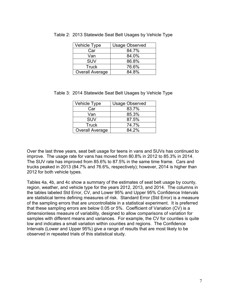| Vehicle Type           | <b>Usage Observed</b> |
|------------------------|-----------------------|
| Car                    | 84.7%                 |
| Van                    | 84.0%                 |
| <b>SUV</b>             | 86.8%                 |
| <b>Truck</b>           | 76.6%                 |
| <b>Overall Average</b> | 84.8%                 |

| Table 2: 2013 Statewide Seat Belt Usages by Vehicle Type |  |  |  |  |  |  |  |  |  |
|----------------------------------------------------------|--|--|--|--|--|--|--|--|--|
|----------------------------------------------------------|--|--|--|--|--|--|--|--|--|

|  |  | Table 3: 2014 Statewide Seat Belt Usages by Vehicle Type |  |
|--|--|----------------------------------------------------------|--|
|  |  |                                                          |  |

| <b>Vehicle Type</b>    | <b>Usage Observed</b> |
|------------------------|-----------------------|
| Car                    | 83.7%                 |
| Van                    | 85.3%                 |
| <b>SUV</b>             | 87.5%                 |
| <b>Truck</b>           | 74.7%                 |
| <b>Overall Average</b> | 84.2%                 |

Over the last three years, seat belt usage for teens in vans and SUVs has continued to improve. The usage rate for vans has moved from 80.8% in 2012 to 85.3% in 2014. The SUV rate has improved from 85.6% to 87.5% in the same time frame. Cars and trucks peaked in 2013 (84.7% and 76.6%, respectively); however, 2014 is higher than 2012 for both vehicle types.

Tables 4a, 4b, and 4c show a summary of the estimates of seat belt usage by county, region, weather, and vehicle type for the years 2012, 2013, and 2014. The columns in the tables labeled Std Error, CV, and Lower 95% and Upper 95% Confidence Intervals are statistical terms defining measures of risk. Standard Error (Std Error) is a measure of the sampling errors that are uncontrollable in a statistical experiment. It is preferred that these sampling errors are below 0.05 or 5%. Coefficient of Variation (CV) is a dimensionless measure of variability, designed to allow comparisons of variation for samples with different means and variances. For example, the CV for counties is quite low and indicates a small variation within counties and regions. The Confidence Intervals (Lower and Upper 95%) give a range of results that are most likely to be observed in repeated trials of this statistical study.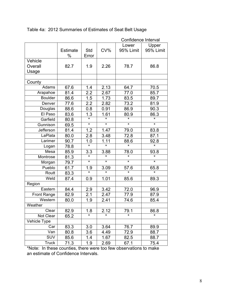|                    |                 |         |         | Confidence Interval |                         |
|--------------------|-----------------|---------|---------|---------------------|-------------------------|
|                    |                 |         |         | Lower               | Upper                   |
|                    | <b>Estimate</b> | Std     | CV%     | 95% Limit           | 95% Limit               |
|                    | %               | Error   |         |                     |                         |
| Vehicle            |                 |         |         |                     |                         |
| Overall            | 82.7            | 1.9     | 2.26    | 78.7                | 86.8                    |
| Usage              |                 |         |         |                     |                         |
|                    |                 |         |         |                     |                         |
| County             |                 |         |         |                     |                         |
| Adams              | 67.6            | 1.4     | 2.13    | 64.7                | 70.5                    |
| Arapahoe           | 81.4            | 2.2     | 2.67    | 77.0                | 85.7                    |
| <b>Boulder</b>     | 86.6            | 1.5     | 1.73    | 83.5                | 89.7                    |
| Denver             | 77.6            | 2.2     | 2.82    | 73.2                | 81.9                    |
| Douglas            | 88.6            | 0.8     | 0.91    | 86.9                | 90.3                    |
| El Paso            | 83.6            | 1.3     | 1.61    | 80.9                | 86.3                    |
| Garfield           | 80.8            | $\star$ | $\star$ | $\star$             | $\star$                 |
| Gunnison           | 69.5            | $\star$ | $\star$ | $\star$             | $\overline{\mathbf{r}}$ |
| Jefferson          | 81.4            | 1.2     | 1.47    | 79.0                | 83.8                    |
| LaPlata            | 80.0            | 2.8     | 3.48    | 72.8                | 87.1                    |
| Larimer            | 90.7            | 1.0     | 1.11    | 88.6                | 92.8                    |
| Logan              | 78.8            | $\star$ | $\star$ | $\star$             | $\star$                 |
| Mesa               | 85.9            | 3.3     | 3.88    | 78.0                | 93.8                    |
| Montrose           | 81.3            | $\star$ | $\star$ | $\star$             | $\star$                 |
| Morgan             | 79.7            | $\star$ | $\star$ | $\star$             | $\star$                 |
| Pueblo             | 61.7            | 1.9     | 3.09    | 57.6                | 65.8                    |
| Routt              | 83.3            | $\star$ | $\star$ | $\star$             | $\star$                 |
| Weld               | 87.4            | 0.9     | 1.01    | 85.6                | 89.3                    |
| Region             |                 |         |         |                     |                         |
| Eastern            | 84.4            | 2.9     | 3.42    | 72.0                | 96.9                    |
| <b>Front Range</b> | 82.9            | 2.1     | 2.47    | 77.9                | 87.9                    |
| Western            | 80.0            | 1.9     | 2.41    | 74.6                | 85.4                    |
| Weather            |                 |         |         |                     |                         |
| Clear              | 82.9            | 1.8     | 2.12    | 79.1                | 86.8                    |
| Not Clear          | 65.2            | $\star$ | $\star$ | $\star$             | $\star$                 |
| Vehicle Type       |                 |         |         |                     |                         |
| Car                | 83.3            | 3.0     | 3.64    | 76.7                | 89.9                    |
| Van                | 80.8            | 3.6     | 4.49    | 72.9                | 88.7                    |
| <b>SUV</b>         | 85.6            | 1.4     | 1.67    | 82.5                | 88.7                    |
| Truck              | 71.3            | 1.9     | 2.69    | 67.1                | 75.4                    |

### Table 4a: 2012 Summaries of Estimates of Seat Belt Usage

\*Note: In these counties, there were too few observations to make an estimate of Confidence Intervals.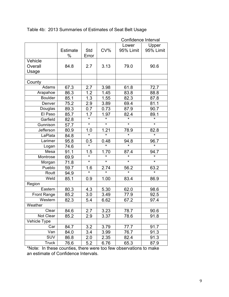|                    |                 |                   |                         | Confidence Interval |                   |
|--------------------|-----------------|-------------------|-------------------------|---------------------|-------------------|
|                    |                 |                   |                         | Lower               | Upper             |
|                    | <b>Estimate</b> | Std               | CV%                     | 95% Limit           | 95% Limit         |
|                    | %               | Error             |                         |                     |                   |
| Vehicle            |                 |                   |                         |                     |                   |
| Overall            | 84.8            | 2.7               | 3.13                    | 79.0                | 90.6              |
| Usage              |                 |                   |                         |                     |                   |
|                    |                 |                   |                         |                     |                   |
| County             |                 |                   |                         |                     |                   |
| Adams              | 67.3            | 2.7               | 3.98                    | 61.8                | 72.7              |
| Arapahoe           | 86.3            | 1.2               | 1.45                    | 83.8                | 88.8              |
| <b>Boulder</b>     | 85.1            | 1.3               | 1.55                    | 82.3                | 87.8              |
| Denver             | 75.2            | 2.9               | 3.89                    | 69.4                | 81.1              |
| Douglas            | 89.3            | 0.7               | 0.73                    | 87.9                | 90.7              |
| El Paso            | 85.7            | 1.7               | 1.97                    | 82.4                | 89.1              |
| Garfield           | 82.8            | $\star$           | $\star$                 | $\star$             | $\star$           |
| Gunnison           | 57.7            | $\star$           | $\overline{\ast}$       | $\overline{\ast}$   | $\star$           |
| Jefferson          | 80.9            | $1.0$             | 1.21                    | 78.9                | 82.8              |
| LaPlata            | 84.8            | $\star$           | $\star$                 | $\star$             | $\star$           |
| Larimer            | 95.8            | 0.5               | 0.48                    | 94.8                | 96.7              |
| Logan              | 74.6            | $\overline{\ast}$ | $\overline{\mathbf{r}}$ | $\overline{\ast}$   | $\overline{\ast}$ |
| Mesa               | 91.1            | 1.5               | 1.70                    | 87.4                | 94.7              |
| Montrose           | 69.9            | $\star$           | $\star$                 | $\star$             | $\star$           |
| Morgan             | 71.8            | $\star$           | $\star$                 | $\star$             | *                 |
| Pueblo             | 59.7            | 1.6               | 2.74                    | 56.2                | 63.2              |
| Routt              | 94.9            | $\star$           | $\star$                 | $\star$             | $\star$           |
| Weld               | 85.1            | 0.9               | 1.00                    | 83.4                | 86.9              |
| Region             |                 |                   |                         |                     |                   |
| Eastern            | 80.3            | 4.3               | 5.30                    | 62.0                | 98.6              |
| <b>Front Range</b> | 85.2            | 3.0               | 3.49                    | 77.9                | 92.5              |
| Western            | 82.3            | 5.4               | 6.62                    | 67.2                | 97.4              |
| Weather            |                 |                   |                         |                     |                   |
| Clear              | 84.6            | 2.7               | 3.23                    | 78.7                | 90.6              |
| Not Clear          | 85.2            | 2.9               | 3.37                    | 78.6                | 91.8              |
| Vehicle Type       |                 |                   |                         |                     |                   |
| Car                | 84.7            | 3.2               | 3.79                    | 77.7                | 91.7              |
| Van                | 84.0            | 3.4               | 3.99                    | 76.7                | 91.3              |
| SUV                | 86.8            | 2.0               | 2.35                    | 82.4                | 91.3              |
| Truck              | 76.6            | 5.2               | 6.76                    | 65.3                | 87.9              |

### Table 4b: 2013 Summaries of Estimates of Seat Belt Usage

\*Note: In these counties, there were too few observations to make an estimate of Confidence Intervals.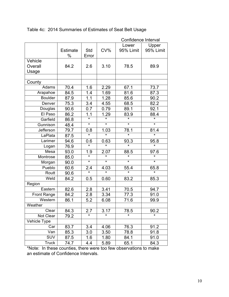|                    |                 |                   |                   | Confidence Interval |                         |
|--------------------|-----------------|-------------------|-------------------|---------------------|-------------------------|
|                    |                 |                   |                   | Lower               | Upper                   |
|                    | <b>Estimate</b> | Std               | CV%               | 95% Limit           | 95% Limit               |
|                    | %               | Error             |                   |                     |                         |
| Vehicle            |                 |                   |                   |                     |                         |
| Overall            | 84.2            | 2.6               | 3.10              | 78.5                | 89.9                    |
| Usage              |                 |                   |                   |                     |                         |
|                    |                 |                   |                   |                     |                         |
| County             |                 |                   |                   |                     |                         |
| Adams              | 70.4            | 1.6               | 2.29              | 67.1                | 73.7                    |
| Arapahoe           | 84.5            | 1.4               | 1.69              | 81.6                | 87.3                    |
| <b>Boulder</b>     | 87.9            | $\overline{1.1}$  | 1.28              | 85.6                | 90.2                    |
| Denver             | 75.3            | 3.4               | 4.55              | 68.5                | 82.2                    |
| Douglas            | 90.6            | 0.7               | 0.79              | 89.1                | 92.1                    |
| El Paso            | 86.2            | 1.1               | 1.29              | 83.9                | 88.4                    |
| Garfield           | 86.8            | $\star$           | $\star$           | $\star$             | $\star$                 |
| Gunnison           | 48.4            | $\star$           | $\star$           | $\star$             | $\overline{\mathbf{r}}$ |
| <b>Jefferson</b>   | 79.7            | 0.8               | 1.03              | 78.1                | 81.4                    |
| LaPlata            | 87.5            | $\star$           |                   | $\star$             | $\star$                 |
| Larimer            | 94.6            | 0.6               | 0.63              | 93.3                | 95.8                    |
| Logan              | 76.9            | $\overline{\ast}$ | $\overline{\ast}$ | $\star$             | $\overline{\ast}$       |
| Mesa               | 93.0            | 1.9               | 2.07              | 88.5                | 97.6                    |
| Montrose           | 85.0            | $\star$           | $\star$           | $\star$             | $\star$                 |
| Morgan             | 90.0            | $\star$           | $\star$           | $\star$             | $\star$                 |
| Pueblo             | 60.6            | 2.4               | 4.03              | 55.4                | 65.8                    |
| Routt              | 90.6            | $\star$           | $\star$           | $\star$             | $\star$                 |
| Weld               | 84.2            | 0.5               | 0.60              | 83.2                | 85.3                    |
| Region             |                 |                   |                   |                     |                         |
| Eastern            | 82.6            | 2.8               | 3.41              | 70.5                | 94.7                    |
| <b>Front Range</b> | 84.2            | 2.8               | 3.34              | 77.3                | 91.0                    |
| Western            | 86.1            | 5.2               | 6.08              | 71.6                | 99.9                    |
| Weather            |                 |                   |                   |                     |                         |
| Clear              | 84.3            | 2.7               | 3.17              | 78.5                | 90.2                    |
| Not Clear          | 79.2            | $\star$           | $\star$           | ¥                   | $\star$                 |
| Vehicle Type       |                 |                   |                   |                     |                         |
| Car                | 83.7            | 3.4               | 4.06              | 76.3                | 91.2                    |
| Van                | 85.3            | 3.0               | 3.50              | 78.8                | 91.8                    |
| <b>SUV</b>         | 87.5            | $1.6\,$           | 1.80              | 84.1                | 91.0                    |
| <b>Truck</b>       | 74.7            | 4.4               | 5.89              | 65.1                | 84.3                    |

#### Table 4c: 2014 Summaries of Estimates of Seat Belt Usage

\*Note: In these counties, there were too few observations to make an estimate of Confidence Intervals.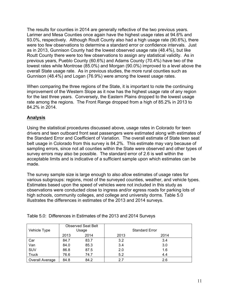The results for counties in 2014 are generally reflective of the two previous years. Larimer and Mesa Counties once again have the highest usage rates at 94.6% and 93.0%, respectively. Although Routt County also had a high usage rate (90.6%), there were too few observations to determine a standard error or confidence intervals. Just as in 2013, Gunnison County had the lowest observed usage rate (48.4%), but like Routt County there were too few observations to assign any statistical validity. As in previous years, Pueblo County (60.6%) and Adams County (70.4%) have two of the lowest rates while Montrose (85.0%) and Morgan (90.0%) improved to a level above the overall State usage rate. As in previous studies, the more rural counties such as Gunnison (48.4%) and Logan (76.9%) were among the lowest usage rates.

When comparing the three regions of the State, it is important to note the continuing improvement of the Western Slope as it now has the highest usage rate of any region for the last three years. Conversely, the Eastern Plains dropped to the lowest usage rate among the regions. The Front Range dropped from a high of 85.2% in 2013 to 84.2% in 2014.

#### **Analysis**

Using the statistical procedures discussed above, usage rates in Colorado for teen drivers and teen outboard front seat passengers were estimated along with estimates of the Standard Error and Coefficient of Variation. The overall estimate of State teen seat belt usage in Colorado from this survey is 84.2%. This estimate may vary because of sampling errors, since not all counties within the State were observed and other types of survey errors may also be possible. The standard error of 2.6 is well within the acceptable limits and is indicative of a sufficient sample upon which estimates can be made.

The survey sample size is large enough to also allow estimates of usage rates for various subgroups: regions, most of the surveyed counties, weather, and vehicle types. Estimates based upon the speed of vehicles were not included in this study as observations were conducted close to ingress and/or egress roads for parking lots of high schools, community colleges, and college and university dorms. Table 5.0 illustrates the differences in estimates of the 2013 and 2014 surveys.

| Vehicle Type    | <b>Observed Seat Belt</b><br>Usage |      |      | <b>Standard Error</b> |
|-----------------|------------------------------------|------|------|-----------------------|
|                 | 2013                               | 2014 | 2013 | 2014                  |
| Car             | 84.7                               | 83.7 | 3.2  | 3.4                   |
| Van             | 84.0                               | 85.3 | 3.4  | 3.0                   |
| SUV             | 86.8                               | 87.5 | 2.0  | 1.6                   |
| <b>Truck</b>    | 76.6                               | 74.7 | 5.2  | 4.4                   |
| Overall Average | 84.8                               | 84.2 | 2.7  | 2.6                   |

Table 5.0: Differences in Estimates of the 2013 and 2014 Surveys